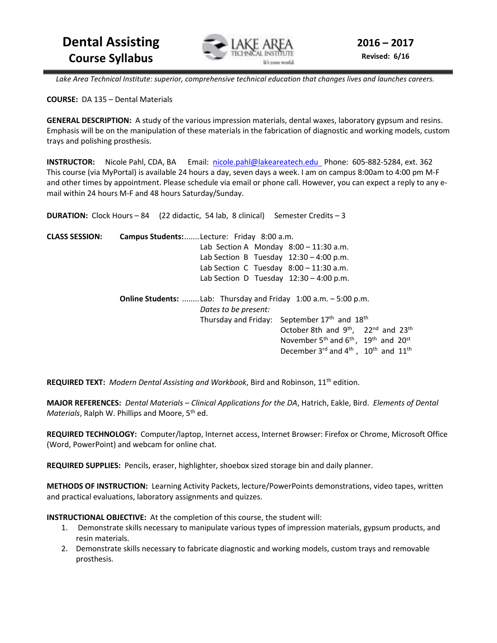

 *Lake Area Technical Institute: superior, comprehensive technical education that changes lives and launches careers.* 

**COURSE:** DA 135 – Dental Materials

**GENERAL DESCRIPTION:** A study of the various impression materials, dental waxes, laboratory gypsum and resins. Emphasis will be on the manipulation of these materials in the fabrication of diagnostic and working models, custom trays and polishing prosthesis.

**INSTRUCTOR:** Nicole Pahl, CDA, BA Email: nicole.pahl@lakeareatech.edu Phone: 605-882-5284, ext. 362 This course (via MyPortal) is available 24 hours a day, seven days a week. I am on campus 8:00am to 4:00 pm M-F and other times by appointment. Please schedule via email or phone call. However, you can expect a reply to any email within 24 hours M-F and 48 hours Saturday/Sunday.

|                       | <b>DURATION:</b> Clock Hours $-84$ (22 didactic, 54 lab, 8 clinical) Semester Credits $-3$ |                                                                                      |
|-----------------------|--------------------------------------------------------------------------------------------|--------------------------------------------------------------------------------------|
| <b>CLASS SESSION:</b> | Campus Students:  Lecture: Friday 8:00 a.m.                                                |                                                                                      |
|                       | Lab Section A Monday $8:00 - 11:30$ a.m.                                                   |                                                                                      |
|                       | Lab Section B Tuesday $12:30 - 4:00$ p.m.                                                  |                                                                                      |
|                       | Lab Section C Tuesday $8:00 - 11:30$ a.m.                                                  |                                                                                      |
|                       | Lab Section D Tuesday $12:30 - 4:00$ p.m.                                                  |                                                                                      |
|                       |                                                                                            | <b>Online Students:</b> Lab: Thursday and Friday $1:00$ a.m. $-5:00$ p.m.            |
|                       | Dates to be present:                                                                       |                                                                                      |
|                       |                                                                                            | Thursday and Friday: September 17 <sup>th</sup> and 18 <sup>th</sup>                 |
|                       |                                                                                            | October 8th and 9 <sup>th</sup> , 22 <sup>nd</sup> and 23 <sup>th</sup>              |
|                       |                                                                                            | November $5^{th}$ and $6^{th}$ , 19 <sup>th</sup> and 20 <sup>st</sup>               |
|                       |                                                                                            | December $3^{\text{rd}}$ and $4^{\text{th}}$ , $10^{\text{th}}$ and $11^{\text{th}}$ |

**REQUIRED TEXT:** *Modern Dental Assisting and Workbook*, Bird and Robinson, 11th edition.

**MAJOR REFERENCES:** *Dental Materials – Clinical Applications for the DA*, Hatrich, Eakle, Bird. *Elements of Dental Materials*, Ralph W. Phillips and Moore, 5th ed.

**REQUIRED TECHNOLOGY:** Computer/laptop, Internet access, Internet Browser: Firefox or Chrome, Microsoft Office (Word, PowerPoint) and webcam for online chat.

**REQUIRED SUPPLIES:** Pencils, eraser, highlighter, shoebox sized storage bin and daily planner.

**METHODS OF INSTRUCTION:** Learning Activity Packets, lecture/PowerPoints demonstrations, video tapes, written and practical evaluations, laboratory assignments and quizzes.

**INSTRUCTIONAL OBJECTIVE:** At the completion of this course, the student will:

- 1. Demonstrate skills necessary to manipulate various types of impression materials, gypsum products, and resin materials.
- 2. Demonstrate skills necessary to fabricate diagnostic and working models, custom trays and removable prosthesis.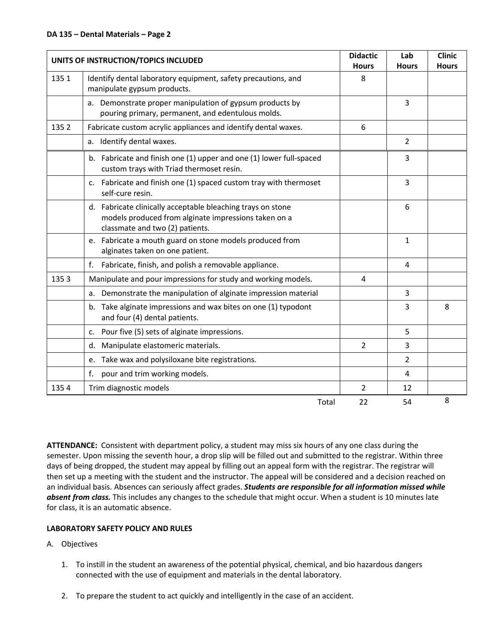| UNITS OF INSTRUCTION/TOPICS INCLUDED |                                                                                                                                                        | <b>Didactic</b><br><b>Hours</b> | Lab<br><b>Hours</b> | <b>Clinic</b><br><b>Hours</b> |
|--------------------------------------|--------------------------------------------------------------------------------------------------------------------------------------------------------|---------------------------------|---------------------|-------------------------------|
| 1351                                 | Identify dental laboratory equipment, safety precautions, and<br>manipulate gypsum products.                                                           | 8                               |                     |                               |
|                                      | a. Demonstrate proper manipulation of gypsum products by<br>pouring primary, permanent, and edentulous molds.                                          |                                 | 3                   |                               |
| 1352                                 | Fabricate custom acrylic appliances and identify dental waxes.                                                                                         | 6                               |                     |                               |
|                                      | a. Identify dental waxes.                                                                                                                              |                                 | 2                   |                               |
|                                      | b. Fabricate and finish one (1) upper and one (1) lower full-spaced<br>custom trays with Triad thermoset resin.                                        |                                 | 3                   |                               |
|                                      | c. Fabricate and finish one (1) spaced custom tray with thermoset<br>self-cure resin.                                                                  |                                 | 3                   |                               |
|                                      | d. Fabricate clinically acceptable bleaching trays on stone<br>models produced from alginate impressions taken on a<br>classmate and two (2) patients. |                                 | 6                   |                               |
|                                      | e. Fabricate a mouth guard on stone models produced from<br>alginates taken on one patient.                                                            |                                 | 1                   |                               |
|                                      | f.<br>Fabricate, finish, and polish a removable appliance.                                                                                             |                                 | 4                   |                               |
| 1353                                 | Manipulate and pour impressions for study and working models.                                                                                          | 4                               |                     |                               |
|                                      | Demonstrate the manipulation of alginate impression material<br>a.                                                                                     |                                 | 3                   |                               |
|                                      | b. Take alginate impressions and wax bites on one (1) typodont<br>and four (4) dental patients.                                                        |                                 | 3                   | 8                             |
|                                      | Pour five (5) sets of alginate impressions.<br>$C_{\star}$                                                                                             |                                 | 5                   |                               |
|                                      | Manipulate elastomeric materials.<br>d.                                                                                                                | 2                               | 3                   |                               |
|                                      | e. Take wax and polysiloxane bite registrations.                                                                                                       |                                 | $\overline{2}$      |                               |
|                                      | pour and trim working models.<br>f.                                                                                                                    |                                 | 4                   |                               |
| 1354                                 | Trim diagnostic models                                                                                                                                 | 2                               | 12                  |                               |
|                                      | Total                                                                                                                                                  | 22                              | 54                  | 8                             |

**ATTENDANCE:** Consistent with department policy, a student may miss six hours of any one class during the semester. Upon missing the seventh hour, a drop slip will be filled out and submitted to the registrar. Within three days of being dropped, the student may appeal by filling out an appeal form with the registrar. The registrar will then set up a meeting with the student and the instructor. The appeal will be considered and a decision reached on an individual basis. Absences can seriously affect grades. *Students are responsible for all information missed while absent from class.* This includes any changes to the schedule that might occur. When a student is 10 minutes late for class, it is an automatic absence.

# **LABORATORY SAFETY POLICY AND RULES**

- A. Objectives
	- 1. To instill in the student an awareness of the potential physical, chemical, and bio hazardous dangers connected with the use of equipment and materials in the dental laboratory.
	- 2. To prepare the student to act quickly and intelligently in the case of an accident.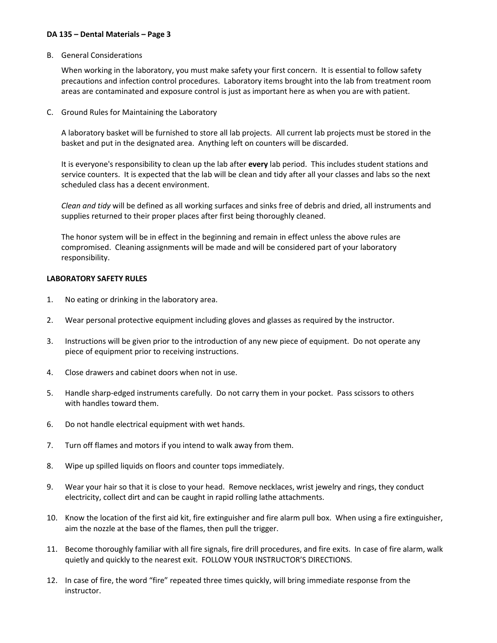B. General Considerations

 When working in the laboratory, you must make safety your first concern. It is essential to follow safety precautions and infection control procedures. Laboratory items brought into the lab from treatment room areas are contaminated and exposure control is just as important here as when you are with patient.

C. Ground Rules for Maintaining the Laboratory

 A laboratory basket will be furnished to store all lab projects. All current lab projects must be stored in the basket and put in the designated area. Anything left on counters will be discarded.

 It is everyone's responsibility to clean up the lab after **every** lab period. This includes student stations and service counters. It is expected that the lab will be clean and tidy after all your classes and labs so the next scheduled class has a decent environment.

 *Clean and tidy* will be defined as all working surfaces and sinks free of debris and dried, all instruments and supplies returned to their proper places after first being thoroughly cleaned.

 The honor system will be in effect in the beginning and remain in effect unless the above rules are compromised. Cleaning assignments will be made and will be considered part of your laboratory responsibility.

### **LABORATORY SAFETY RULES**

- 1. No eating or drinking in the laboratory area.
- 2. Wear personal protective equipment including gloves and glasses as required by the instructor.
- 3. Instructions will be given prior to the introduction of any new piece of equipment. Do not operate any piece of equipment prior to receiving instructions.
- 4. Close drawers and cabinet doors when not in use.
- 5. Handle sharp-edged instruments carefully. Do not carry them in your pocket. Pass scissors to others with handles toward them.
- 6. Do not handle electrical equipment with wet hands.
- 7. Turn off flames and motors if you intend to walk away from them.
- 8. Wipe up spilled liquids on floors and counter tops immediately.
- 9. Wear your hair so that it is close to your head. Remove necklaces, wrist jewelry and rings, they conduct electricity, collect dirt and can be caught in rapid rolling lathe attachments.
- 10. Know the location of the first aid kit, fire extinguisher and fire alarm pull box. When using a fire extinguisher, aim the nozzle at the base of the flames, then pull the trigger.
- 11. Become thoroughly familiar with all fire signals, fire drill procedures, and fire exits. In case of fire alarm, walk quietly and quickly to the nearest exit. FOLLOW YOUR INSTRUCTOR'S DIRECTIONS.
- 12. In case of fire, the word "fire" repeated three times quickly, will bring immediate response from the instructor.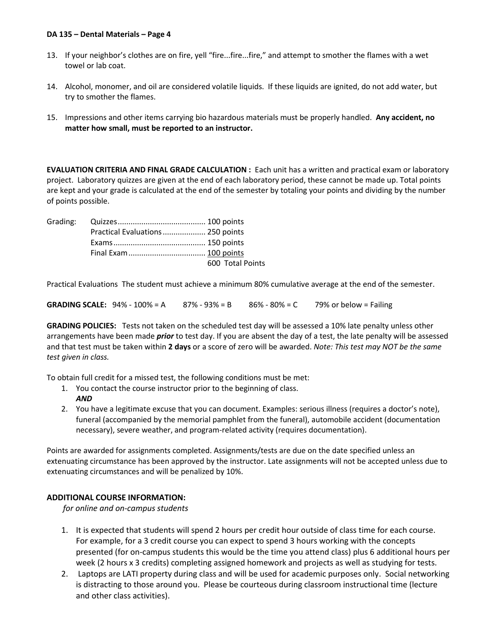- 13. If your neighbor's clothes are on fire, yell "fire...fire...fire," and attempt to smother the flames with a wet towel or lab coat.
- 14. Alcohol, monomer, and oil are considered volatile liquids. If these liquids are ignited, do not add water, but try to smother the flames.
- 15. Impressions and other items carrying bio hazardous materials must be properly handled. **Any accident, no matter how small, must be reported to an instructor.**

**EVALUATION CRITERIA AND FINAL GRADE CALCULATION :** Each unit has a written and practical exam or laboratory project. Laboratory quizzes are given at the end of each laboratory period, these cannot be made up. Total points are kept and your grade is calculated at the end of the semester by totaling your points and dividing by the number of points possible.

| Practical Evaluations  250 points |                  |
|-----------------------------------|------------------|
|                                   |                  |
|                                   |                  |
|                                   | 600 Total Points |

Practical Evaluations The student must achieve a minimum 80% cumulative average at the end of the semester.

**GRADING SCALE:**  $94\% - 100\% = A$  87% -  $93\% = B$  86% - 80% = C 79% or below = Failing

**GRADING POLICIES:** Tests not taken on the scheduled test day will be assessed a 10% late penalty unless other arrangements have been made *prior* to test day. If you are absent the day of a test, the late penalty will be assessed and that test must be taken within **2 days** or a score of zero will be awarded. *Note: This test may NOT be the same test given in class.* 

To obtain full credit for a missed test, the following conditions must be met:

- 1. You contact the course instructor prior to the beginning of class.
	- *AND*
- 2. You have a legitimate excuse that you can document. Examples: serious illness (requires a doctor's note), funeral (accompanied by the memorial pamphlet from the funeral), automobile accident (documentation necessary), severe weather, and program-related activity (requires documentation).

Points are awarded for assignments completed. Assignments/tests are due on the date specified unless an extenuating circumstance has been approved by the instructor. Late assignments will not be accepted unless due to extenuating circumstances and will be penalized by 10%.

# **ADDITIONAL COURSE INFORMATION:**

*for online and on-campus students* 

- 1. It is expected that students will spend 2 hours per credit hour outside of class time for each course. For example, for a 3 credit course you can expect to spend 3 hours working with the concepts presented (for on-campus students this would be the time you attend class) plus 6 additional hours per week (2 hours x 3 credits) completing assigned homework and projects as well as studying for tests.
- 2. Laptops are LATI property during class and will be used for academic purposes only. Social networking is distracting to those around you. Please be courteous during classroom instructional time (lecture and other class activities).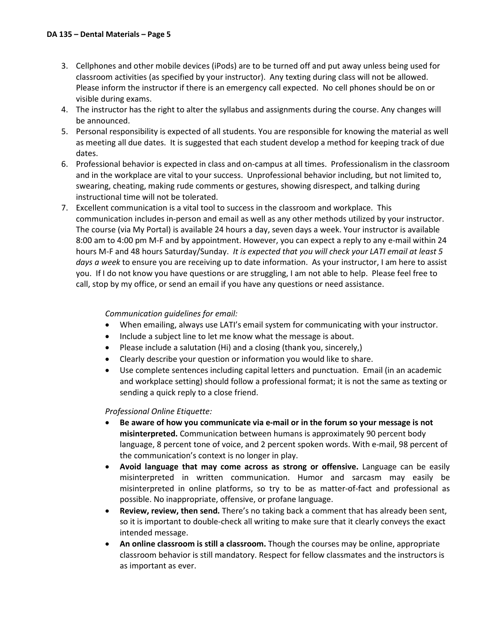- 3. Cellphones and other mobile devices (iPods) are to be turned off and put away unless being used for classroom activities (as specified by your instructor). Any texting during class will not be allowed. Please inform the instructor if there is an emergency call expected. No cell phones should be on or visible during exams.
- 4. The instructor has the right to alter the syllabus and assignments during the course. Any changes will be announced.
- 5. Personal responsibility is expected of all students. You are responsible for knowing the material as well as meeting all due dates. It is suggested that each student develop a method for keeping track of due dates.
- 6. Professional behavior is expected in class and on-campus at all times. Professionalism in the classroom and in the workplace are vital to your success. Unprofessional behavior including, but not limited to, swearing, cheating, making rude comments or gestures, showing disrespect, and talking during instructional time will not be tolerated.
- 7. Excellent communication is a vital tool to success in the classroom and workplace. This communication includes in-person and email as well as any other methods utilized by your instructor. The course (via My Portal) is available 24 hours a day, seven days a week. Your instructor is available 8:00 am to 4:00 pm M-F and by appointment. However, you can expect a reply to any e-mail within 24 hours M-F and 48 hours Saturday/Sunday. *It is expected that you will check your LATI email at least 5 days a week* to ensure you are receiving up to date information. As your instructor, I am here to assist you. If I do not know you have questions or are struggling, I am not able to help. Please feel free to call, stop by my office, or send an email if you have any questions or need assistance.

# *Communication guidelines for email:*

- When emailing, always use LATI's email system for communicating with your instructor.
- Include a subject line to let me know what the message is about.
- Please include a salutation (Hi) and a closing (thank you, sincerely,)
- Clearly describe your question or information you would like to share.
- Use complete sentences including capital letters and punctuation. Email (in an academic and workplace setting) should follow a professional format; it is not the same as texting or sending a quick reply to a close friend.

# *Professional Online Etiquette:*

- **Be aware of how you communicate via e-mail or in the forum so your message is not misinterpreted.** Communication between humans is approximately 90 percent body language, 8 percent tone of voice, and 2 percent spoken words. With e-mail, 98 percent of the communication's context is no longer in play.
- **Avoid language that may come across as strong or offensive.** Language can be easily misinterpreted in written communication. Humor and sarcasm may easily be misinterpreted in online platforms, so try to be as matter-of-fact and professional as possible. No inappropriate, offensive, or profane language.
- **Review, review, then send.** There's no taking back a comment that has already been sent, so it is important to double-check all writing to make sure that it clearly conveys the exact intended message.
- **An online classroom is still a classroom.** Though the courses may be online, appropriate classroom behavior is still mandatory. Respect for fellow classmates and the instructors is as important as ever.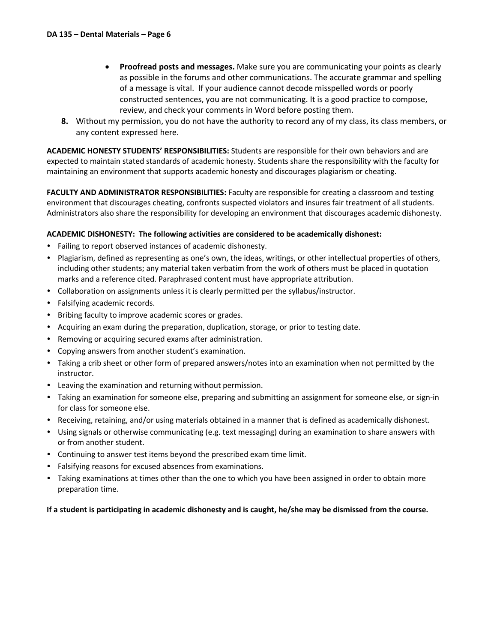- **Proofread posts and messages.** Make sure you are communicating your points as clearly as possible in the forums and other communications. The accurate grammar and spelling of a message is vital. If your audience cannot decode misspelled words or poorly constructed sentences, you are not communicating. It is a good practice to compose, review, and check your comments in Word before posting them.
- **8.** Without my permission, you do not have the authority to record any of my class, its class members, or any content expressed here.

**ACADEMIC HONESTY STUDENTS' RESPONSIBILITIES:** Students are responsible for their own behaviors and are expected to maintain stated standards of academic honesty. Students share the responsibility with the faculty for maintaining an environment that supports academic honesty and discourages plagiarism or cheating.

**FACULTY AND ADMINISTRATOR RESPONSIBILITIES:** Faculty are responsible for creating a classroom and testing environment that discourages cheating, confronts suspected violators and insures fair treatment of all students. Administrators also share the responsibility for developing an environment that discourages academic dishonesty.

### **ACADEMIC DISHONESTY: The following activities are considered to be academically dishonest:**

- Failing to report observed instances of academic dishonesty.
- Plagiarism, defined as representing as one's own, the ideas, writings, or other intellectual properties of others, including other students; any material taken verbatim from the work of others must be placed in quotation marks and a reference cited. Paraphrased content must have appropriate attribution.
- Collaboration on assignments unless it is clearly permitted per the syllabus/instructor.
- Falsifying academic records.
- Bribing faculty to improve academic scores or grades.
- Acquiring an exam during the preparation, duplication, storage, or prior to testing date.
- Removing or acquiring secured exams after administration.
- Copying answers from another student's examination.
- Taking a crib sheet or other form of prepared answers/notes into an examination when not permitted by the instructor.
- Leaving the examination and returning without permission.
- Taking an examination for someone else, preparing and submitting an assignment for someone else, or sign-in for class for someone else.
- Receiving, retaining, and/or using materials obtained in a manner that is defined as academically dishonest.
- Using signals or otherwise communicating (e.g. text messaging) during an examination to share answers with or from another student.
- Continuing to answer test items beyond the prescribed exam time limit.
- Falsifying reasons for excused absences from examinations.
- Taking examinations at times other than the one to which you have been assigned in order to obtain more preparation time.

### **If a student is participating in academic dishonesty and is caught, he/she may be dismissed from the course.**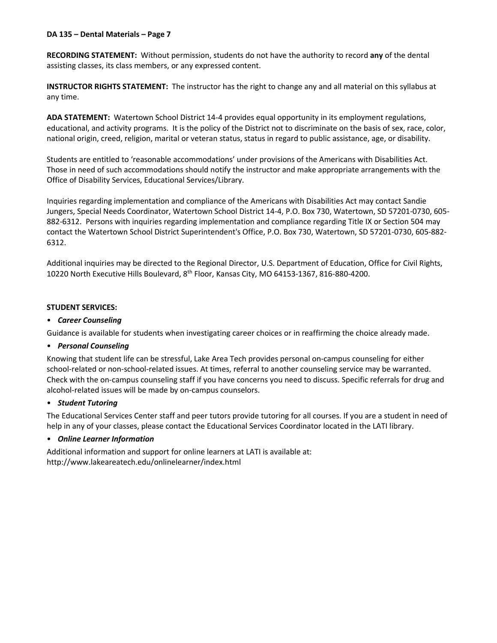**RECORDING STATEMENT:** Without permission, students do not have the authority to record **any** of the dental assisting classes, its class members, or any expressed content.

**INSTRUCTOR RIGHTS STATEMENT:** The instructor has the right to change any and all material on this syllabus at any time.

**ADA STATEMENT:** Watertown School District 14-4 provides equal opportunity in its employment regulations, educational, and activity programs. It is the policy of the District not to discriminate on the basis of sex, race, color, national origin, creed, religion, marital or veteran status, status in regard to public assistance, age, or disability.

Students are entitled to 'reasonable accommodations' under provisions of the Americans with Disabilities Act. Those in need of such accommodations should notify the instructor and make appropriate arrangements with the Office of Disability Services, Educational Services/Library.

Inquiries regarding implementation and compliance of the Americans with Disabilities Act may contact Sandie Jungers, Special Needs Coordinator, Watertown School District 14-4, P.O. Box 730, Watertown, SD 57201-0730, 605- 882-6312. Persons with inquiries regarding implementation and compliance regarding Title IX or Section 504 may contact the Watertown School District Superintendent's Office, P.O. Box 730, Watertown, SD 57201-0730, 605-882- 6312.

Additional inquiries may be directed to the Regional Director, U.S. Department of Education, Office for Civil Rights, 10220 North Executive Hills Boulevard, 8th Floor, Kansas City, MO 64153-1367, 816-880-4200.

### **STUDENT SERVICES:**

### • *Career Counseling*

Guidance is available for students when investigating career choices or in reaffirming the choice already made.

### • *Personal Counseling*

Knowing that student life can be stressful, Lake Area Tech provides personal on-campus counseling for either school-related or non-school-related issues. At times, referral to another counseling service may be warranted. Check with the on-campus counseling staff if you have concerns you need to discuss. Specific referrals for drug and alcohol-related issues will be made by on-campus counselors.

### • *Student Tutoring*

The Educational Services Center staff and peer tutors provide tutoring for all courses. If you are a student in need of help in any of your classes, please contact the Educational Services Coordinator located in the LATI library.

### • *Online Learner Information*

Additional information and support for online learners at LATI is available at: http://www.lakeareatech.edu/onlinelearner/index.html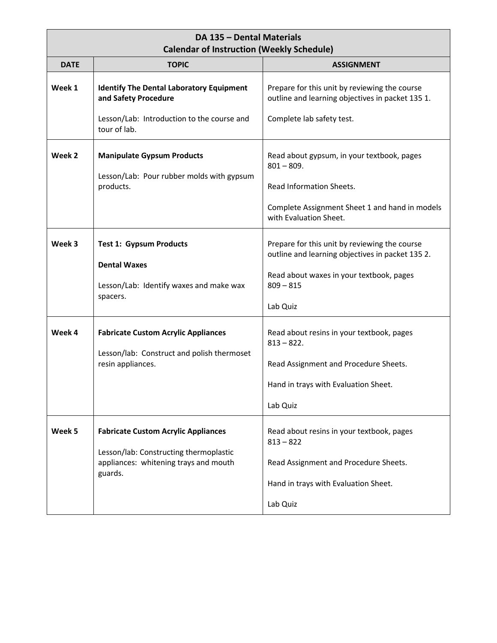| DA 135 - Dental Materials<br><b>Calendar of Instruction (Weekly Schedule)</b> |                                                                                                                                          |                                                                                                                                               |  |
|-------------------------------------------------------------------------------|------------------------------------------------------------------------------------------------------------------------------------------|-----------------------------------------------------------------------------------------------------------------------------------------------|--|
| <b>DATE</b>                                                                   | <b>TOPIC</b>                                                                                                                             | <b>ASSIGNMENT</b>                                                                                                                             |  |
| Week 1                                                                        | <b>Identify The Dental Laboratory Equipment</b><br>and Safety Procedure                                                                  | Prepare for this unit by reviewing the course<br>outline and learning objectives in packet 135 1.                                             |  |
|                                                                               | Lesson/Lab: Introduction to the course and<br>tour of lab.                                                                               | Complete lab safety test.                                                                                                                     |  |
| Week 2                                                                        | <b>Manipulate Gypsum Products</b>                                                                                                        | Read about gypsum, in your textbook, pages<br>$801 - 809.$                                                                                    |  |
|                                                                               | Lesson/Lab: Pour rubber molds with gypsum<br>products.                                                                                   | Read Information Sheets.                                                                                                                      |  |
|                                                                               |                                                                                                                                          | Complete Assignment Sheet 1 and hand in models<br>with Evaluation Sheet.                                                                      |  |
| Week 3                                                                        | <b>Test 1: Gypsum Products</b><br><b>Dental Waxes</b>                                                                                    | Prepare for this unit by reviewing the course<br>outline and learning objectives in packet 135 2.<br>Read about waxes in your textbook, pages |  |
|                                                                               | Lesson/Lab: Identify waxes and make wax<br>spacers.                                                                                      | $809 - 815$<br>Lab Quiz                                                                                                                       |  |
| Week 4                                                                        | <b>Fabricate Custom Acrylic Appliances</b><br>Lesson/lab: Construct and polish thermoset<br>resin appliances.                            | Read about resins in your textbook, pages<br>$813 - 822$ .<br>Read Assignment and Procedure Sheets.<br>Hand in trays with Evaluation Sheet.   |  |
|                                                                               |                                                                                                                                          | Lab Quiz                                                                                                                                      |  |
| Week 5                                                                        | <b>Fabricate Custom Acrylic Appliances</b><br>Lesson/lab: Constructing thermoplastic<br>appliances: whitening trays and mouth<br>guards. | Read about resins in your textbook, pages<br>$813 - 822$<br>Read Assignment and Procedure Sheets.<br>Hand in trays with Evaluation Sheet.     |  |
|                                                                               |                                                                                                                                          | Lab Quiz                                                                                                                                      |  |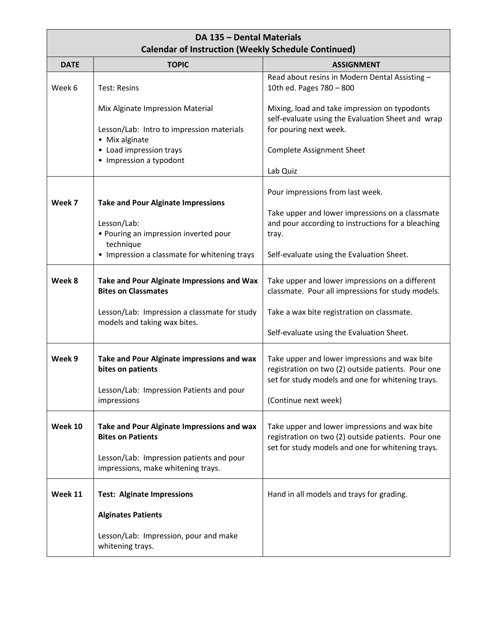| DA 135 - Dental Materials<br><b>Calendar of Instruction (Weekly Schedule Continued)</b> |                                                                                                                                                                |                                                                                                                                                                                                 |  |
|-----------------------------------------------------------------------------------------|----------------------------------------------------------------------------------------------------------------------------------------------------------------|-------------------------------------------------------------------------------------------------------------------------------------------------------------------------------------------------|--|
| <b>DATE</b>                                                                             | <b>TOPIC</b>                                                                                                                                                   | <b>ASSIGNMENT</b>                                                                                                                                                                               |  |
| Week 6                                                                                  | <b>Test: Resins</b>                                                                                                                                            | Read about resins in Modern Dental Assisting -<br>10th ed. Pages 780 - 800                                                                                                                      |  |
|                                                                                         | Mix Alginate Impression Material<br>Lesson/Lab: Intro to impression materials<br>• Mix alginate                                                                | Mixing, load and take impression on typodonts<br>self-evaluate using the Evaluation Sheet and wrap<br>for pouring next week.                                                                    |  |
|                                                                                         | • Load impression trays<br>• Impression a typodont                                                                                                             | <b>Complete Assignment Sheet</b><br>Lab Quiz                                                                                                                                                    |  |
| Week 7                                                                                  | <b>Take and Pour Alginate Impressions</b><br>Lesson/Lab:<br>• Pouring an impression inverted pour<br>technique<br>• Impression a classmate for whitening trays | Pour impressions from last week.<br>Take upper and lower impressions on a classmate<br>and pour according to instructions for a bleaching<br>tray.<br>Self-evaluate using the Evaluation Sheet. |  |
| Week 8                                                                                  | Take and Pour Alginate Impressions and Wax<br><b>Bites on Classmates</b><br>Lesson/Lab: Impression a classmate for study<br>models and taking wax bites.       | Take upper and lower impressions on a different<br>classmate. Pour all impressions for study models.<br>Take a wax bite registration on classmate.<br>Self-evaluate using the Evaluation Sheet. |  |
| Week 9                                                                                  | Take and Pour Alginate impressions and wax<br>bites on patients<br>Lesson/Lab: Impression Patients and pour<br>impressions                                     | Take upper and lower impressions and wax bite<br>registration on two (2) outside patients. Pour one<br>set for study models and one for whitening trays.<br>(Continue next week)                |  |
| Week 10                                                                                 | Take and Pour Alginate Impressions and wax<br><b>Bites on Patients</b><br>Lesson/Lab: Impression patients and pour<br>impressions, make whitening trays.       | Take upper and lower impressions and wax bite<br>registration on two (2) outside patients. Pour one<br>set for study models and one for whitening trays.                                        |  |
| Week 11                                                                                 | <b>Test: Alginate Impressions</b><br><b>Alginates Patients</b><br>Lesson/Lab: Impression, pour and make<br>whitening trays.                                    | Hand in all models and trays for grading.                                                                                                                                                       |  |